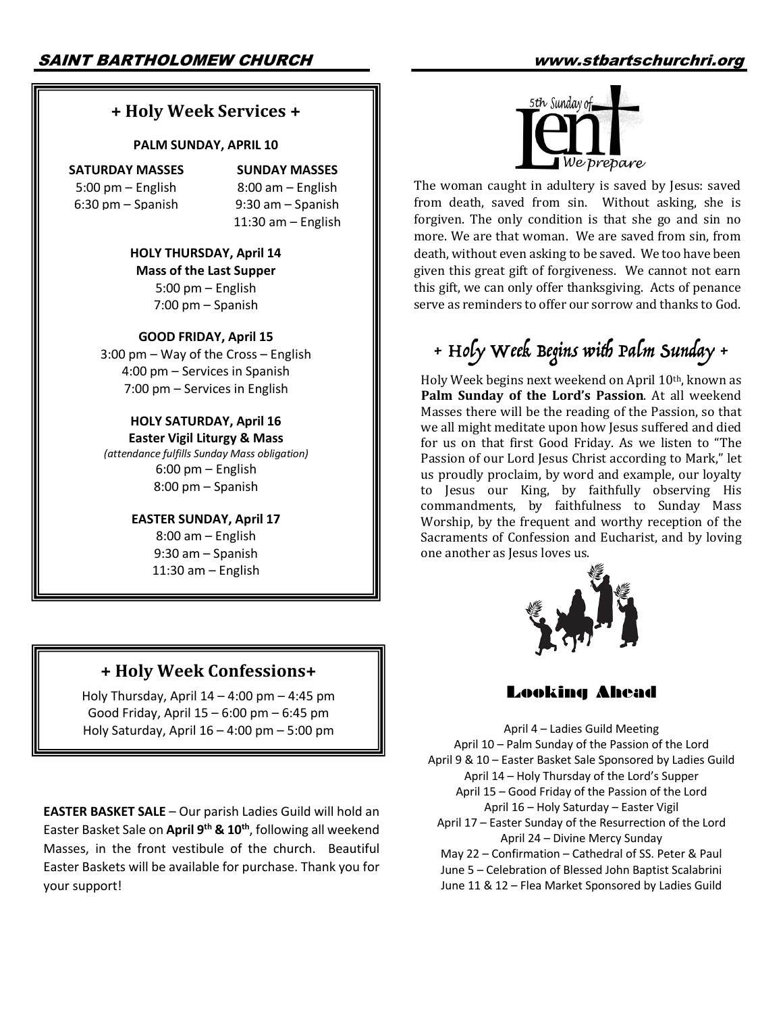## **+ Holy Week Services +**

#### **PALM SUNDAY, APRIL 10**

**SATURDAY MASSES** 5:00 pm – English 6:30 pm – Spanish

**SUNDAY MASSES** 8:00 am – English 9:30 am – Spanish 11:30 am – English

**HOLY THURSDAY, April 14 Mass of the Last Supper** 5:00 pm – English 7:00 pm – Spanish

#### **GOOD FRIDAY, April 15**

3:00 pm – Way of the Cross – English 4:00 pm – Services in Spanish 7:00 pm – Services in English

**HOLY SATURDAY, April 16 Easter Vigil Liturgy & Mass** *(attendance fulfills Sunday Mass obligation)* 6:00 pm – English 8:00 pm – Spanish

#### **EASTER SUNDAY, April 17**

8:00 am – English 9:30 am – Spanish 11:30 am – English

# **+ Holy Week Confessions+**

Holy Thursday, April  $14 - 4:00$  pm  $- 4:45$  pm Good Friday, April 15 – 6:00 pm – 6:45 pm Holy Saturday, April 16 – 4:00 pm – 5:00 pm

**EASTER BASKET SALE** – Our parish Ladies Guild will hold an Easter Basket Sale on **April 9th & 10th**, following all weekend Masses, in the front vestibule of the church. Beautiful Easter Baskets will be available for purchase. Thank you for your support!



The woman caught in adultery is saved by Jesus: saved from death, saved from sin. Without asking, she is forgiven. The only condition is that she go and sin no more. We are that woman. We are saved from sin, from death, without even asking to be saved. We too have been given this great gift of forgiveness. We cannot not earn this gift, we can only offer thanksgiving. Acts of penance serve as reminders to offer our sorrow and thanks to God.

# + Holy Week Begins with Palm Sunday +

Holy Week begins next weekend on April 10th, known as Palm Sunday of the Lord's Passion. At all weekend Masses there will be the reading of the Passion, so that we all might meditate upon how Jesus suffered and died for us on that first Good Friday. As we listen to "The Passion of our Lord Jesus Christ according to Mark," let us proudly proclaim, by word and example, our loyalty to Jesus our King, by faithfully observing His commandments, by faithfulness to Sunday Mass Worship, by the frequent and worthy reception of the Sacraments of Confession and Eucharist, and by loving one another as Jesus loves us.



#### Looking Ahead

April 4 – Ladies Guild Meeting April 10 – Palm Sunday of the Passion of the Lord April 9 & 10 – Easter Basket Sale Sponsored by Ladies Guild April 14 – Holy Thursday of the Lord's Supper April 15 – Good Friday of the Passion of the Lord April 16 – Holy Saturday – Easter Vigil April 17 – Easter Sunday of the Resurrection of the Lord April 24 – Divine Mercy Sunday May 22 – Confirmation – Cathedral of SS. Peter & Paul June 5 – Celebration of Blessed John Baptist Scalabrini June 11 & 12 – Flea Market Sponsored by Ladies Guild